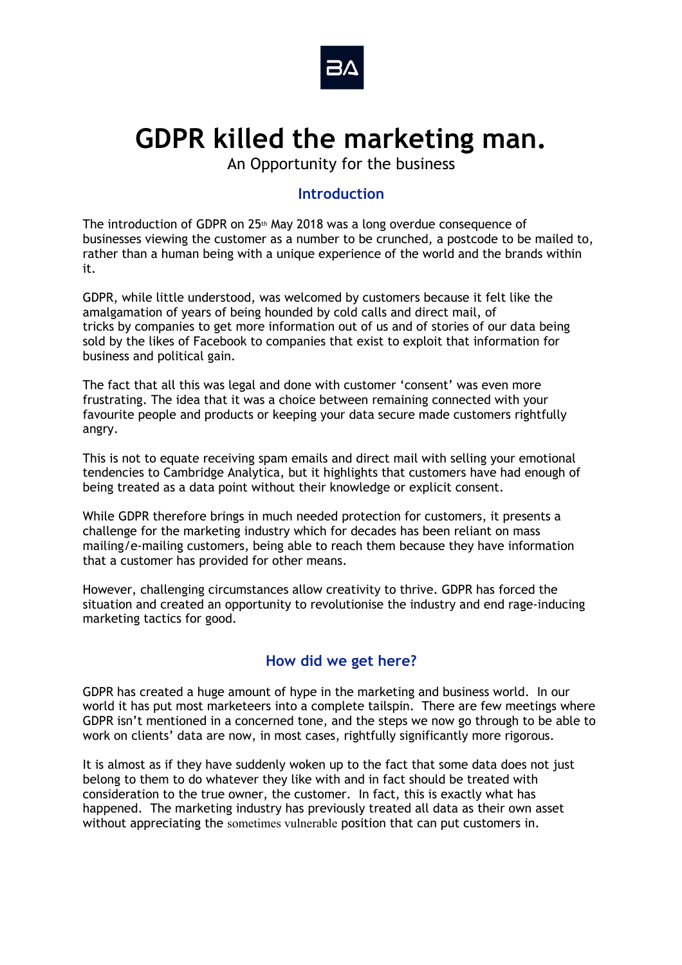

# **GDPR killed the marketing man.**

An Opportunity for the business

### **Introduction**

The introduction of GDPR on 25<sup>th</sup> May 2018 was a long overdue consequence of businesses viewing the customer as a number to be crunched, a postcode to be mailed to, rather than a human being with a unique experience of the world and the brands within it.

GDPR, while little understood, was welcomed by customers because it felt like the amalgamation of years of being hounded by cold calls and direct mail, of tricks by companies to get more information out of us and of stories of our data being sold by the likes of Facebook to companies that exist to exploit that information for business and political gain.

The fact that all this was legal and done with customer 'consent' was even more frustrating. The idea that it was a choice between remaining connected with your favourite people and products or keeping your data secure made customers rightfully angry.

This is not to equate receiving spam emails and direct mail with selling your emotional tendencies to Cambridge Analytica, but it highlights that customers have had enough of being treated as a data point without their knowledge or explicit consent.

While GDPR therefore brings in much needed protection for customers, it presents a challenge for the marketing industry which for decades has been reliant on mass mailing/e-mailing customers, being able to reach them because they have information that a customer has provided for other means.

However, challenging circumstances allow creativity to thrive. GDPR has forced the situation and created an opportunity to revolutionise the industry and end rage-inducing marketing tactics for good.

## **How did we get here?**

GDPR has created a huge amount of hype in the marketing and business world. In our world it has put most marketeers into a complete tailspin. There are few meetings where GDPR isn't mentioned in a concerned tone, and the steps we now go through to be able to work on clients' data are now, in most cases, rightfully significantly more rigorous.

It is almost as if they have suddenly woken up to the fact that some data does not just belong to them to do whatever they like with and in fact should be treated with consideration to the true owner, the customer. In fact, this is exactly what has happened. The marketing industry has previously treated all data as their own asset without appreciating the sometimes vulnerable position that can put customers in.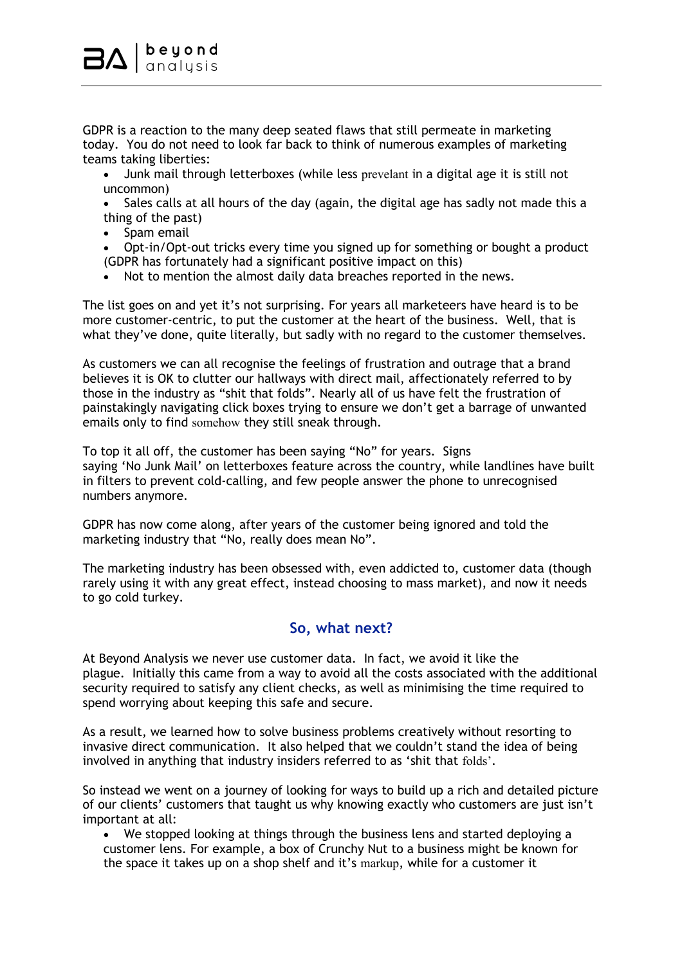GDPR is a reaction to the many deep seated flaws that still permeate in marketing today. You do not need to look far back to think of numerous examples of marketing teams taking liberties:

- Junk mail through letterboxes (while less prevelant in a digital age it is still not uncommon)
- Sales calls at all hours of the day (again, the digital age has sadly not made this a thing of the past)
- Spam email
- Opt-in/Opt-out tricks every time you signed up for something or bought a product (GDPR has fortunately had a significant positive impact on this)
- Not to mention the almost daily data breaches reported in the news.

The list goes on and yet it's not surprising. For years all marketeers have heard is to be more customer-centric, to put the customer at the heart of the business. Well, that is what they've done, quite literally, but sadly with no regard to the customer themselves.

As customers we can all recognise the feelings of frustration and outrage that a brand believes it is OK to clutter our hallways with direct mail, affectionately referred to by those in the industry as "shit that folds". Nearly all of us have felt the frustration of painstakingly navigating click boxes trying to ensure we don't get a barrage of unwanted emails only to find somehow they still sneak through.

To top it all off, the customer has been saying "No" for years. Signs saying 'No Junk Mail' on letterboxes feature across the country, while landlines have built in filters to prevent cold-calling, and few people answer the phone to unrecognised numbers anymore.

GDPR has now come along, after years of the customer being ignored and told the marketing industry that "No, really does mean No".

The marketing industry has been obsessed with, even addicted to, customer data (though rarely using it with any great effect, instead choosing to mass market), and now it needs to go cold turkey.

## **So, what next?**

At Beyond Analysis we never use customer data. In fact, we avoid it like the plague. Initially this came from a way to avoid all the costs associated with the additional security required to satisfy any client checks, as well as minimising the time required to spend worrying about keeping this safe and secure.

As a result, we learned how to solve business problems creatively without resorting to invasive direct communication. It also helped that we couldn't stand the idea of being involved in anything that industry insiders referred to as 'shit that folds'.

So instead we went on a journey of looking for ways to build up a rich and detailed picture of our clients' customers that taught us why knowing exactly who customers are just isn't important at all:

• We stopped looking at things through the business lens and started deploying a customer lens. For example, a box of Crunchy Nut to a business might be known for the space it takes up on a shop shelf and it's markup, while for a customer it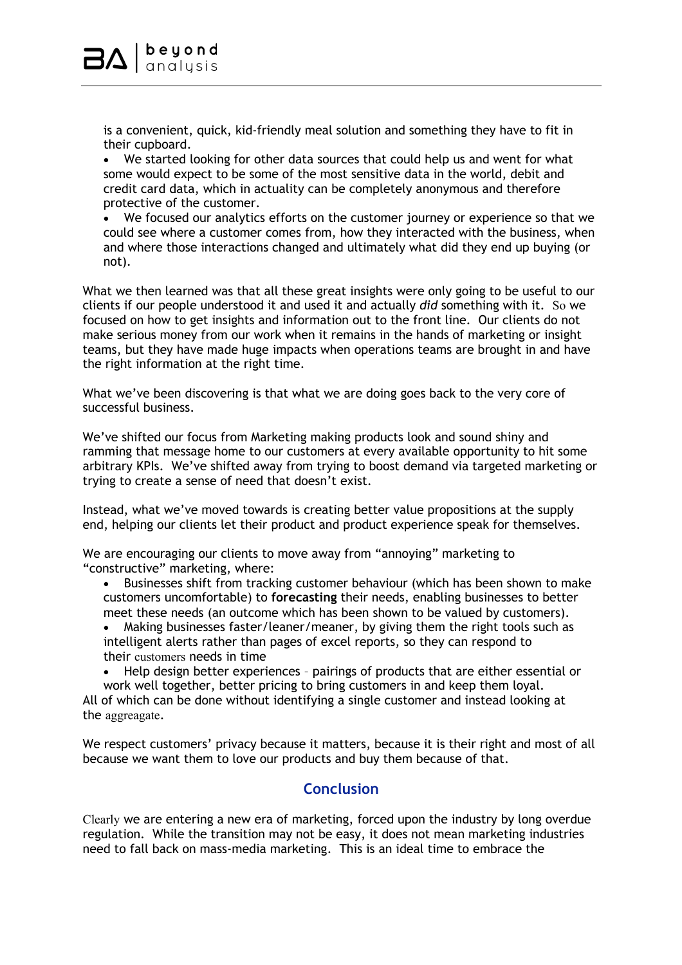is a convenient, quick, kid-friendly meal solution and something they have to fit in their cupboard.

• We started looking for other data sources that could help us and went for what some would expect to be some of the most sensitive data in the world, debit and credit card data, which in actuality can be completely anonymous and therefore protective of the customer.

• We focused our analytics efforts on the customer journey or experience so that we could see where a customer comes from, how they interacted with the business, when and where those interactions changed and ultimately what did they end up buying (or not).

What we then learned was that all these great insights were only going to be useful to our clients if our people understood it and used it and actually *did* something with it. So we focused on how to get insights and information out to the front line. Our clients do not make serious money from our work when it remains in the hands of marketing or insight teams, but they have made huge impacts when operations teams are brought in and have the right information at the right time.

What we've been discovering is that what we are doing goes back to the very core of successful business.

We've shifted our focus from Marketing making products look and sound shiny and ramming that message home to our customers at every available opportunity to hit some arbitrary KPIs. We've shifted away from trying to boost demand via targeted marketing or trying to create a sense of need that doesn't exist.

Instead, what we've moved towards is creating better value propositions at the supply end, helping our clients let their product and product experience speak for themselves.

We are encouraging our clients to move away from "annoying" marketing to "constructive" marketing, where:

- Businesses shift from tracking customer behaviour (which has been shown to make customers uncomfortable) to **forecasting** their needs, enabling businesses to better meet these needs (an outcome which has been shown to be valued by customers).
- Making businesses faster/leaner/meaner, by giving them the right tools such as intelligent alerts rather than pages of excel reports, so they can respond to their customers needs in time
- Help design better experiences pairings of products that are either essential or work well together, better pricing to bring customers in and keep them loyal.

All of which can be done without identifying a single customer and instead looking at the aggreagate.

We respect customers' privacy because it matters, because it is their right and most of all because we want them to love our products and buy them because of that.

## **Conclusion**

Clearly we are entering a new era of marketing, forced upon the industry by long overdue regulation. While the transition may not be easy, it does not mean marketing industries need to fall back on mass-media marketing. This is an ideal time to embrace the